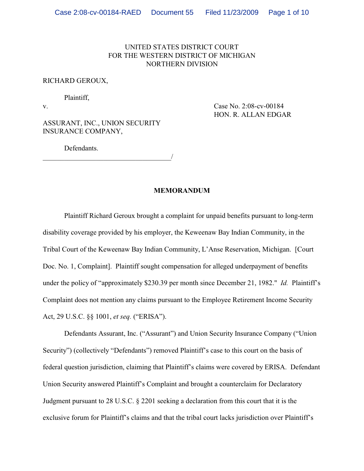# UNITED STATES DISTRICT COURT FOR THE WESTERN DISTRICT OF MICHIGAN NORTHERN DIVISION

### RICHARD GEROUX,

Plaintiff,

v. Case No. 2:08-cv-00184 HON. R. ALLAN EDGAR

ASSURANT, INC., UNION SECURITY INSURANCE COMPANY,

\_\_\_\_\_\_\_\_\_\_\_\_\_\_\_\_\_\_\_\_\_\_\_\_\_\_\_\_\_\_\_\_\_\_\_\_/

Defendants.

#### **MEMORANDUM**

Plaintiff Richard Geroux brought a complaint for unpaid benefits pursuant to long-term disability coverage provided by his employer, the Keweenaw Bay Indian Community, in the Tribal Court of the Keweenaw Bay Indian Community, L'Anse Reservation, Michigan. [Court Doc. No. 1, Complaint]. Plaintiff sought compensation for alleged underpayment of benefits under the policy of "approximately \$230.39 per month since December 21, 1982." *Id.* Plaintiff's Complaint does not mention any claims pursuant to the Employee Retirement Income Security Act, 29 U.S.C. §§ 1001, *et seq.* ("ERISA").

Defendants Assurant, Inc. ("Assurant") and Union Security Insurance Company ("Union Security") (collectively "Defendants") removed Plaintiff's case to this court on the basis of federal question jurisdiction, claiming that Plaintiff's claims were covered by ERISA. Defendant Union Security answered Plaintiff's Complaint and brought a counterclaim for Declaratory Judgment pursuant to 28 U.S.C. § 2201 seeking a declaration from this court that it is the exclusive forum for Plaintiff's claims and that the tribal court lacks jurisdiction over Plaintiff's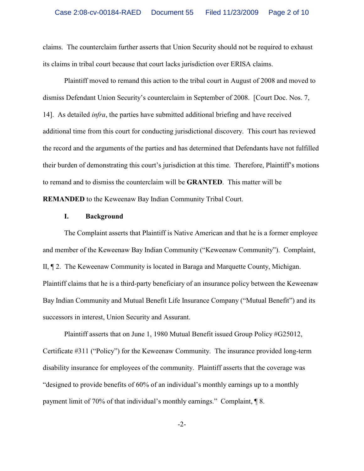claims. The counterclaim further asserts that Union Security should not be required to exhaust its claims in tribal court because that court lacks jurisdiction over ERISA claims.

Plaintiff moved to remand this action to the tribal court in August of 2008 and moved to dismiss Defendant Union Security's counterclaim in September of 2008. [Court Doc. Nos. 7, 14]. As detailed *infra*, the parties have submitted additional briefing and have received additional time from this court for conducting jurisdictional discovery. This court has reviewed the record and the arguments of the parties and has determined that Defendants have not fulfilled their burden of demonstrating this court's jurisdiction at this time. Therefore, Plaintiff's motions to remand and to dismiss the counterclaim will be **GRANTED**. This matter will be **REMANDED** to the Keweenaw Bay Indian Community Tribal Court.

### **I. Background**

The Complaint asserts that Plaintiff is Native American and that he is a former employee and member of the Keweenaw Bay Indian Community ("Keweenaw Community"). Complaint, II, ¶ 2. The Keweenaw Community is located in Baraga and Marquette County, Michigan. Plaintiff claims that he is a third-party beneficiary of an insurance policy between the Keweenaw Bay Indian Community and Mutual Benefit Life Insurance Company ("Mutual Benefit") and its successors in interest, Union Security and Assurant.

Plaintiff asserts that on June 1, 1980 Mutual Benefit issued Group Policy #G25012, Certificate #311 ("Policy") for the Keweenaw Community. The insurance provided long-term disability insurance for employees of the community. Plaintiff asserts that the coverage was "designed to provide benefits of 60% of an individual's monthly earnings up to a monthly payment limit of 70% of that individual's monthly earnings." Complaint, ¶ 8.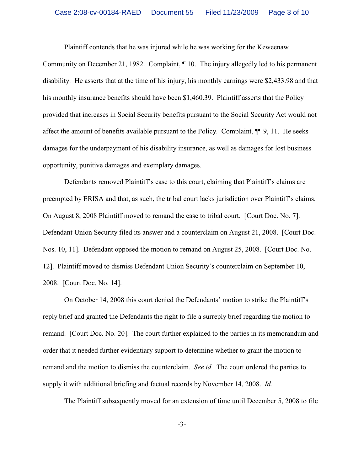Plaintiff contends that he was injured while he was working for the Keweenaw

Community on December 21, 1982. Complaint, ¶ 10. The injury allegedly led to his permanent disability. He asserts that at the time of his injury, his monthly earnings were \$2,433.98 and that his monthly insurance benefits should have been \$1,460.39. Plaintiff asserts that the Policy provided that increases in Social Security benefits pursuant to the Social Security Act would not affect the amount of benefits available pursuant to the Policy. Complaint, ¶¶ 9, 11. He seeks damages for the underpayment of his disability insurance, as well as damages for lost business opportunity, punitive damages and exemplary damages.

Defendants removed Plaintiff's case to this court, claiming that Plaintiff's claims are preempted by ERISA and that, as such, the tribal court lacks jurisdiction over Plaintiff's claims. On August 8, 2008 Plaintiff moved to remand the case to tribal court. [Court Doc. No. 7]. Defendant Union Security filed its answer and a counterclaim on August 21, 2008. [Court Doc. Nos. 10, 11]. Defendant opposed the motion to remand on August 25, 2008. [Court Doc. No. 12]. Plaintiff moved to dismiss Defendant Union Security's counterclaim on September 10, 2008. [Court Doc. No. 14].

On October 14, 2008 this court denied the Defendants' motion to strike the Plaintiff's reply brief and granted the Defendants the right to file a surreply brief regarding the motion to remand. [Court Doc. No. 20]. The court further explained to the parties in its memorandum and order that it needed further evidentiary support to determine whether to grant the motion to remand and the motion to dismiss the counterclaim. *See id.* The court ordered the parties to supply it with additional briefing and factual records by November 14, 2008. *Id.*

The Plaintiff subsequently moved for an extension of time until December 5, 2008 to file

-3-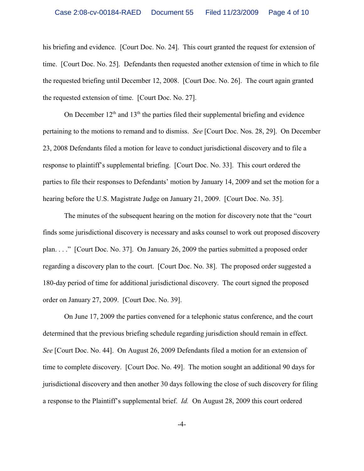his briefing and evidence. [Court Doc. No. 24]. This court granted the request for extension of time. [Court Doc. No. 25]. Defendants then requested another extension of time in which to file the requested briefing until December 12, 2008. [Court Doc. No. 26]. The court again granted the requested extension of time. [Court Doc. No. 27].

On December  $12<sup>th</sup>$  and  $13<sup>th</sup>$  the parties filed their supplemental briefing and evidence pertaining to the motions to remand and to dismiss. *See* [Court Doc. Nos. 28, 29]. On December 23, 2008 Defendants filed a motion for leave to conduct jurisdictional discovery and to file a response to plaintiff's supplemental briefing. [Court Doc. No. 33]. This court ordered the parties to file their responses to Defendants' motion by January 14, 2009 and set the motion for a hearing before the U.S. Magistrate Judge on January 21, 2009. [Court Doc. No. 35].

The minutes of the subsequent hearing on the motion for discovery note that the "court finds some jurisdictional discovery is necessary and asks counsel to work out proposed discovery plan. . . ." [Court Doc. No. 37]. On January 26, 2009 the parties submitted a proposed order regarding a discovery plan to the court. [Court Doc. No. 38]. The proposed order suggested a 180-day period of time for additional jurisdictional discovery. The court signed the proposed order on January 27, 2009. [Court Doc. No. 39].

On June 17, 2009 the parties convened for a telephonic status conference, and the court determined that the previous briefing schedule regarding jurisdiction should remain in effect. *See* [Court Doc. No. 44]. On August 26, 2009 Defendants filed a motion for an extension of time to complete discovery. [Court Doc. No. 49]. The motion sought an additional 90 days for jurisdictional discovery and then another 30 days following the close of such discovery for filing a response to the Plaintiff's supplemental brief. *Id.* On August 28, 2009 this court ordered

-4-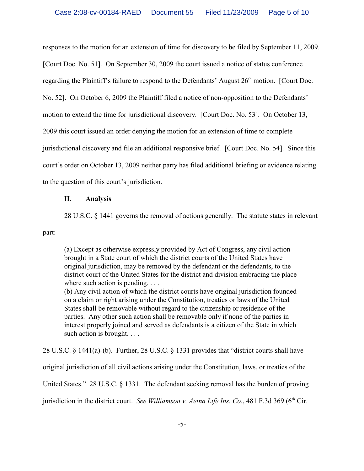responses to the motion for an extension of time for discovery to be filed by September 11, 2009. [Court Doc. No. 51]. On September 30, 2009 the court issued a notice of status conference regarding the Plaintiff's failure to respond to the Defendants' August  $26<sup>th</sup>$  motion. [Court Doc. No. 52]. On October 6, 2009 the Plaintiff filed a notice of non-opposition to the Defendants' motion to extend the time for jurisdictional discovery. [Court Doc. No. 53]. On October 13, 2009 this court issued an order denying the motion for an extension of time to complete jurisdictional discovery and file an additional responsive brief. [Court Doc. No. 54]. Since this court's order on October 13, 2009 neither party has filed additional briefing or evidence relating to the question of this court's jurisdiction.

## **II. Analysis**

28 U.S.C. § 1441 governs the removal of actions generally. The statute states in relevant

part:

(a) Except as otherwise expressly provided by Act of Congress, any civil action brought in a State court of which the district courts of the United States have original jurisdiction, may be removed by the defendant or the defendants, to the district court of the United States for the district and division embracing the place where such action is pending....

(b) Any civil action of which the district courts have original jurisdiction founded on a claim or right arising under the Constitution, treaties or laws of the United States shall be removable without regard to the citizenship or residence of the parties. Any other such action shall be removable only if none of the parties in interest properly joined and served as defendants is a citizen of the State in which such action is brought. . . .

28 U.S.C. § 1441(a)-(b). Further, 28 U.S.C. § 1331 provides that "district courts shall have

original jurisdiction of all civil actions arising under the Constitution, laws, or treaties of the

United States." 28 U.S.C. § 1331. The defendant seeking removal has the burden of proving

jurisdiction in the district court. *See Williamson v. Aetna Life Ins. Co.*, 481 F.3d 369 (6<sup>th</sup> Cir.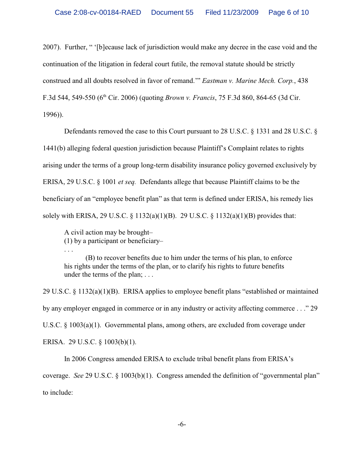2007). Further, " '[b]ecause lack of jurisdiction would make any decree in the case void and the continuation of the litigation in federal court futile, the removal statute should be strictly construed and all doubts resolved in favor of remand.'" *Eastman v. Marine Mech. Corp.*, 438 F.3d 544, 549-550 (6<sup>th</sup> Cir. 2006) (quoting *Brown v. Francis*, 75 F.3d 860, 864-65 (3d Cir. 1996)).

Defendants removed the case to this Court pursuant to 28 U.S.C. § 1331 and 28 U.S.C. §

1441(b) alleging federal question jurisdiction because Plaintiff's Complaint relates to rights

arising under the terms of a group long-term disability insurance policy governed exclusively by

ERISA, 29 U.S.C. § 1001 *et seq.* Defendants allege that because Plaintiff claims to be the

beneficiary of an "employee benefit plan" as that term is defined under ERISA, his remedy lies

solely with ERISA, 29 U.S.C. § 1132(a)(1)(B). 29 U.S.C. § 1132(a)(1)(B) provides that:

A civil action may be brought–

. . .

(1) by a participant or beneficiary–

(B) to recover benefits due to him under the terms of his plan, to enforce his rights under the terms of the plan, or to clarify his rights to future benefits under the terms of the plan; . . .

29 U.S.C. § 1132(a)(1)(B). ERISA applies to employee benefit plans "established or maintained by any employer engaged in commerce or in any industry or activity affecting commerce . . ." 29 U.S.C. § 1003(a)(1). Governmental plans, among others, are excluded from coverage under ERISA. 29 U.S.C. § 1003(b)(1).

In 2006 Congress amended ERISA to exclude tribal benefit plans from ERISA's coverage. *See* 29 U.S.C. § 1003(b)(1). Congress amended the definition of "governmental plan" to include: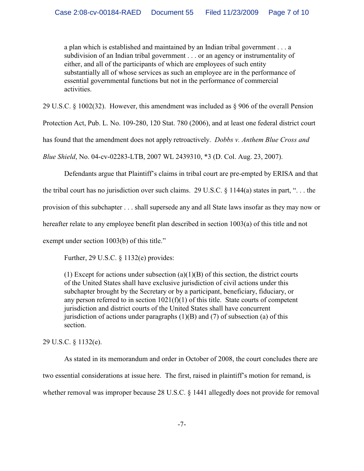a plan which is established and maintained by an Indian tribal government . . . a subdivision of an Indian tribal government . . . or an agency or instrumentality of either, and all of the participants of which are employees of such entity substantially all of whose services as such an employee are in the performance of essential governmental functions but not in the performance of commercial activities.

29 U.S.C. § 1002(32). However, this amendment was included as § 906 of the overall Pension

Protection Act, Pub. L. No. 109-280, 120 Stat. 780 (2006), and at least one federal district court

has found that the amendment does not apply retroactively. *Dobbs v. Anthem Blue Cross and*

*Blue Shield*, No. 04-cv-02283-LTB, 2007 WL 2439310, \*3 (D. Col. Aug. 23, 2007).

Defendants argue that Plaintiff's claims in tribal court are pre-empted by ERISA and that

the tribal court has no jurisdiction over such claims. 29 U.S.C.  $\S$  1144(a) states in part, "... the

provision of this subchapter . . . shall supersede any and all State laws insofar as they may now or

hereafter relate to any employee benefit plan described in section 1003(a) of this title and not

exempt under section 1003(b) of this title."

Further, 29 U.S.C. § 1132(e) provides:

(1) Except for actions under subsection  $(a)(1)(B)$  of this section, the district courts of the United States shall have exclusive jurisdiction of civil actions under this subchapter brought by the Secretary or by a participant, beneficiary, fiduciary, or any person referred to in section  $1021(f)(1)$  of this title. State courts of competent jurisdiction and district courts of the United States shall have concurrent jurisdiction of actions under paragraphs  $(1)(B)$  and  $(7)$  of subsection (a) of this section.

29 U.S.C. § 1132(e).

As stated in its memorandum and order in October of 2008, the court concludes there are two essential considerations at issue here. The first, raised in plaintiff's motion for remand, is whether removal was improper because 28 U.S.C. § 1441 allegedly does not provide for removal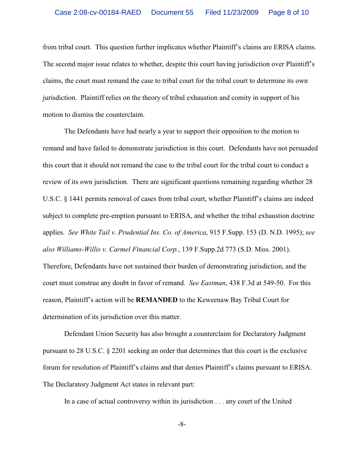from tribal court. This question further implicates whether Plaintiff's claims are ERISA claims. The second major issue relates to whether, despite this court having jurisdiction over Plaintiff's claims, the court must remand the case to tribal court for the tribal court to determine its own jurisdiction. Plaintiff relies on the theory of tribal exhaustion and comity in support of his motion to dismiss the counterclaim.

The Defendants have had nearly a year to support their opposition to the motion to remand and have failed to demonstrate jurisdiction in this court. Defendants have not persuaded this court that it should not remand the case to the tribal court for the tribal court to conduct a review of its own jurisdiction. There are significant questions remaining regarding whether 28 U.S.C. § 1441 permits removal of cases from tribal court, whether Plaintiff's claims are indeed subject to complete pre-emption pursuant to ERISA, and whether the tribal exhaustion doctrine applies. *See White Tail v. Prudential Ins. Co. of America*, 915 F.Supp. 153 (D. N.D. 1995); *see also Williams-Willis v. Carmel Financial Corp.*, 139 F.Supp.2d 773 (S.D. Miss. 2001). Therefore, Defendants have not sustained their burden of demonstrating jurisdiction, and the court must construe any doubt in favor of remand. *See Eastman*, 438 F.3d at 549-50. For this

reason, Plaintiff's action will be **REMANDED** to the Keweenaw Bay Tribal Court for

determination of its jurisdiction over this matter.

Defendant Union Security has also brought a counterclaim for Declaratory Judgment pursuant to 28 U.S.C. § 2201 seeking an order that determines that this court is the exclusive forum for resolution of Plaintiff's claims and that denies Plaintiff's claims pursuant to ERISA. The Declaratory Judgment Act states in relevant part:

In a case of actual controversy within its jurisdiction . . . any court of the United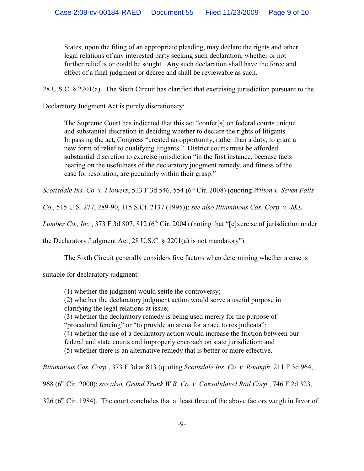States, upon the filing of an appropriate pleading, may declare the rights and other legal relations of any interested party seeking such declaration, whether or not further relief is or could be sought. Any such declaration shall have the force and effect of a final judgment or decree and shall be reviewable as such.

28 U.S.C. § 2201(a). The Sixth Circuit has clarified that exercising jurisdiction pursuant to the

Declaratory Judgment Act is purely discretionary:

The Supreme Court has indicated that this act "confer[s] on federal courts unique and substantial discretion in deciding whether to declare the rights of litigants." In passing the act, Congress "created an opportunity, rather than a duty, to grant a new form of relief to qualifying litigants." District courts must be afforded substantial discretion to exercise jurisdiction "in the first instance, because facts bearing on the usefulness of the declaratory judgment remedy, and fitness of the case for resolution, are peculiarly within their grasp."

*Scottsdale Ins. Co. v. Flowers,* 513 F.3d 546, 554 (6<sup>th</sup> Cir. 2008) (quoting *Wilton v. Seven Falls* 

*Co.*, 515 U.S. 277, 289-90, 115 S.Ct. 2137 (1995)); *see also Bituminous Cas. Corp. v. J&L*

*Lumber Co., Inc.*, 373 F.3d 807, 812 (6<sup>th</sup> Cir. 2004) (noting that "[e]xercise of jurisdiction under

the Declaratory Judgment Act, 28 U.S.C. § 2201(a) is not mandatory").

The Sixth Circuit generally considers five factors when determining whether a case is

suitable for declaratory judgment:

(1) whether the judgment would settle the controversy; (2) whether the declaratory judgment action would serve a useful purpose in clarifying the legal relations at issue; (3) whether the declaratory remedy is being used merely for the purpose of "procedural fencing" or "to provide an arena for a race to res judicata"; (4) whether the use of a declaratory action would increase the friction between our federal and state courts and improperly encroach on state jurisdiction; and (5) whether there is an alternative remedy that is better or more effective.

*Bituminous Cas. Corp.*, 373 F.3d at 813 (quoting *Scottsdale Ins. Co. v. Roumph*, 211 F.3d 964,

968 (6<sup>th</sup> Cir. 2000); *see also, Grand Trunk W.R. Co. v. Consolidated Rail Corp.*, 746 F.2d 323,

 $326$  (6<sup>th</sup> Cir. 1984). The court concludes that at least three of the above factors weigh in favor of